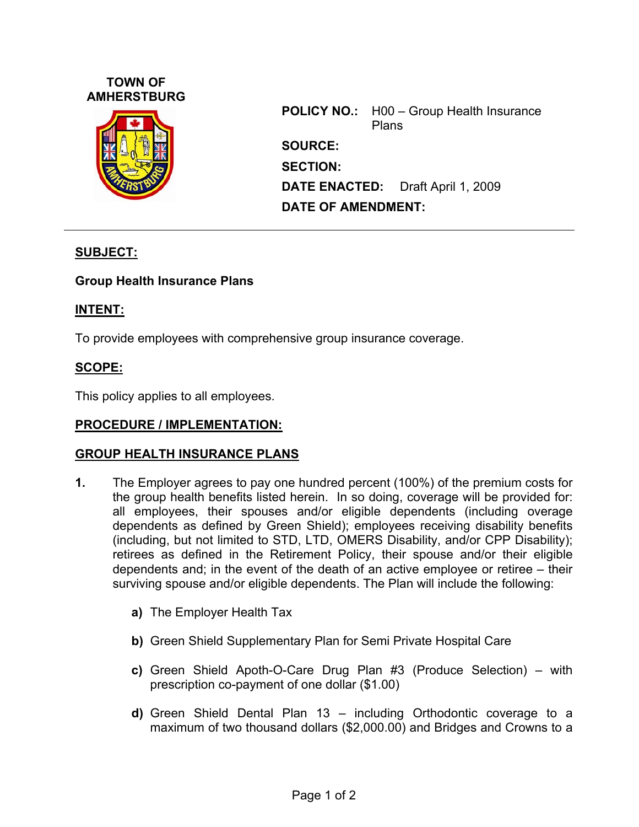## **TOWN OF AMHERSTBURG**



**POLICY NO.:** H00 – Group Health Insurance Plans **SOURCE: SECTION: DATE ENACTED:** Draft April 1, 2009 **DATE OF AMENDMENT:** 

# **SUBJECT:**

### **Group Health Insurance Plans**

## **INTENT:**

To provide employees with comprehensive group insurance coverage.

## **SCOPE:**

This policy applies to all employees.

### **PROCEDURE / IMPLEMENTATION:**

### **GROUP HEALTH INSURANCE PLANS**

- **1.** The Employer agrees to pay one hundred percent (100%) of the premium costs for the group health benefits listed herein. In so doing, coverage will be provided for: all employees, their spouses and/or eligible dependents (including overage dependents as defined by Green Shield); employees receiving disability benefits (including, but not limited to STD, LTD, OMERS Disability, and/or CPP Disability); retirees as defined in the Retirement Policy, their spouse and/or their eligible dependents and; in the event of the death of an active employee or retiree – their surviving spouse and/or eligible dependents. The Plan will include the following:
	- **a)** The Employer Health Tax
	- **b)** Green Shield Supplementary Plan for Semi Private Hospital Care
	- **c)** Green Shield Apoth-O-Care Drug Plan #3 (Produce Selection) with prescription co-payment of one dollar (\$1.00)
	- **d)** Green Shield Dental Plan 13 including Orthodontic coverage to a maximum of two thousand dollars (\$2,000.00) and Bridges and Crowns to a